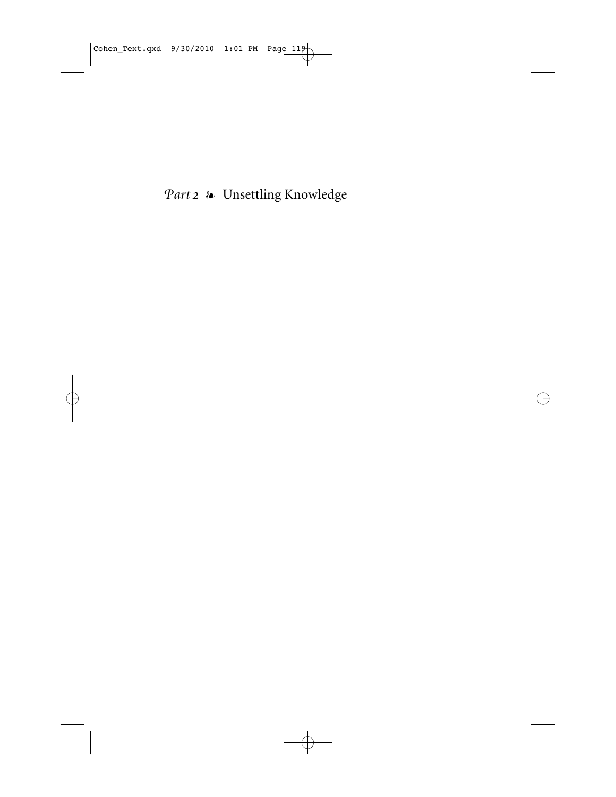*Part 2* ! Unsettling Knowledge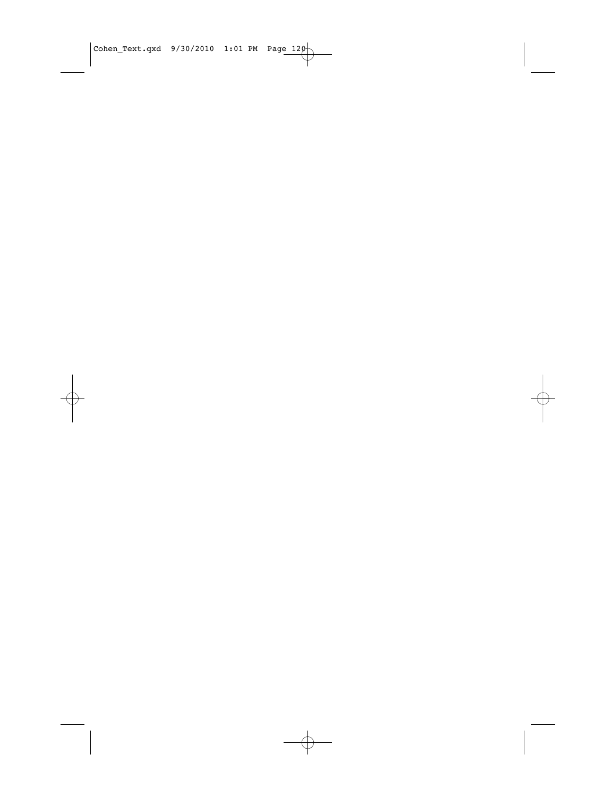$\begin{tabular}{|l|l|} \hline \texttt{Cohen\_Text.qxd} & 9/30/2010 & 1:01 PM \texttt{Page 120} \\\hline \end{tabular}$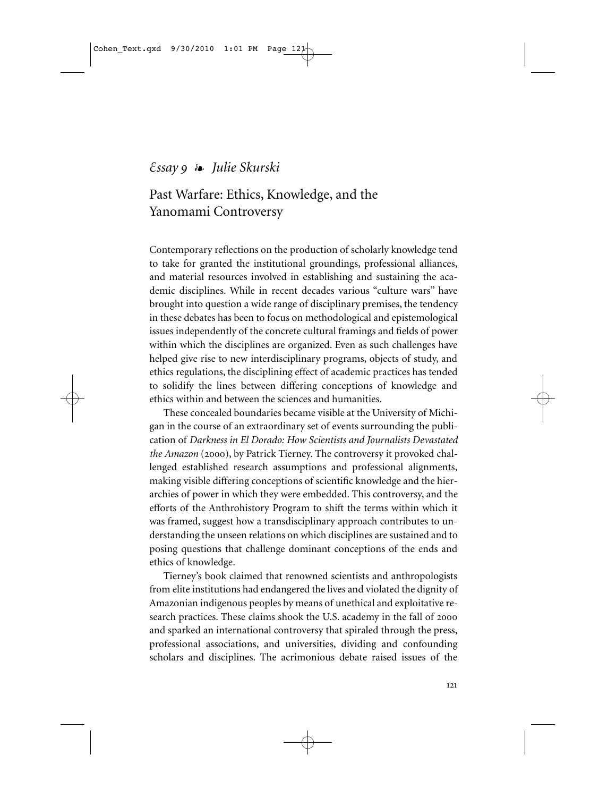## *Essay 9* ! *Julie Skurski*

# Past Warfare: Ethics, Knowledge, and the Yanomami Controversy

Contemporary reflections on the production of scholarly knowledge tend to take for granted the institutional groundings, professional alliances, and material resources involved in establishing and sustaining the academic disciplines. While in recent decades various "culture wars" have brought into question a wide range of disciplinary premises, the tendency in these debates has been to focus on methodological and epistemological issues independently of the concrete cultural framings and fields of power within which the disciplines are organized. Even as such challenges have helped give rise to new interdisciplinary programs, objects of study, and ethics regulations, the disciplining effect of academic practices has tended to solidify the lines between differing conceptions of knowledge and ethics within and between the sciences and humanities.

These concealed boundaries became visible at the University of Michigan in the course of an extraordinary set of events surrounding the publication of *Darkness in El Dorado: How Scientists and Journalists Devastated the Amazon* (2000), by Patrick Tierney. The controversy it provoked challenged established research assumptions and professional alignments, making visible differing conceptions of scientific knowledge and the hierarchies of power in which they were embedded. This controversy, and the efforts of the Anthrohistory Program to shift the terms within which it was framed, suggest how a transdisciplinary approach contributes to understanding the unseen relations on which disciplines are sustained and to posing questions that challenge dominant conceptions of the ends and ethics of knowledge.

Tierney's book claimed that renowned scientists and anthropologists from elite institutions had endangered the lives and violated the dignity of Amazonian indigenous peoples by means of unethical and exploitative research practices. These claims shook the U.S. academy in the fall of 2000 and sparked an international controversy that spiraled through the press, professional associations, and universities, dividing and confounding scholars and disciplines. The acrimonious debate raised issues of the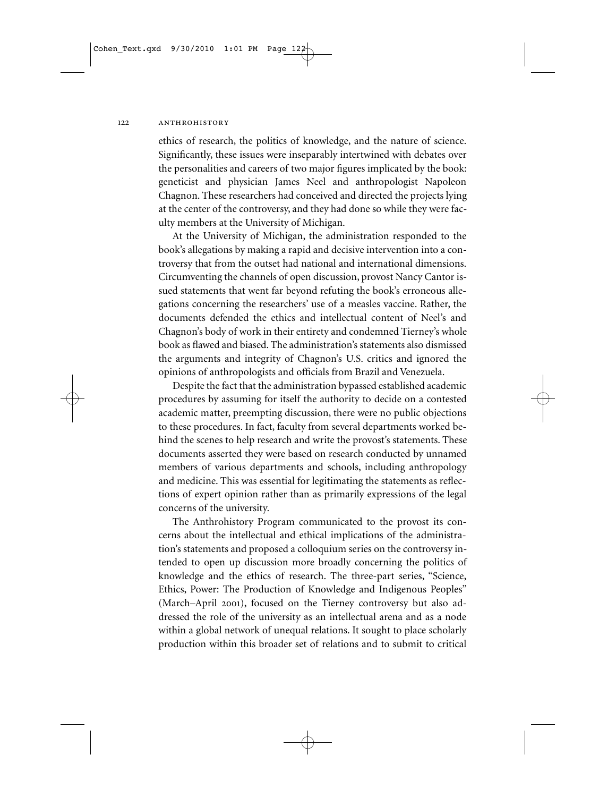ethics of research, the politics of knowledge, and the nature of science. Significantly, these issues were inseparably intertwined with debates over the personalities and careers of two major figures implicated by the book: geneticist and physician James Neel and anthropologist Napoleon Chagnon. These researchers had conceived and directed the projects lying at the center of the controversy, and they had done so while they were faculty members at the University of Michigan.

At the University of Michigan, the administration responded to the book's allegations by making a rapid and decisive intervention into a controversy that from the outset had national and international dimensions. Circumventing the channels of open discussion, provost Nancy Cantor issued statements that went far beyond refuting the book's erroneous allegations concerning the researchers' use of a measles vaccine. Rather, the documents defended the ethics and intellectual content of Neel's and Chagnon's body of work in their entirety and condemned Tierney's whole book as flawed and biased. The administration's statements also dismissed the arguments and integrity of Chagnon's U.S. critics and ignored the opinions of anthropologists and officials from Brazil and Venezuela.

Despite the fact that the administration bypassed established academic procedures by assuming for itself the authority to decide on a contested academic matter, preempting discussion, there were no public objections to these procedures. In fact, faculty from several departments worked behind the scenes to help research and write the provost's statements. These documents asserted they were based on research conducted by unnamed members of various departments and schools, including anthropology and medicine. This was essential for legitimating the statements as reflections of expert opinion rather than as primarily expressions of the legal concerns of the university.

The Anthrohistory Program communicated to the provost its concerns about the intellectual and ethical implications of the administration's statements and proposed a colloquium series on the controversy intended to open up discussion more broadly concerning the politics of knowledge and the ethics of research. The three-part series, "Science, Ethics, Power: The Production of Knowledge and Indigenous Peoples" (March–April 2001), focused on the Tierney controversy but also addressed the role of the university as an intellectual arena and as a node within a global network of unequal relations. It sought to place scholarly production within this broader set of relations and to submit to critical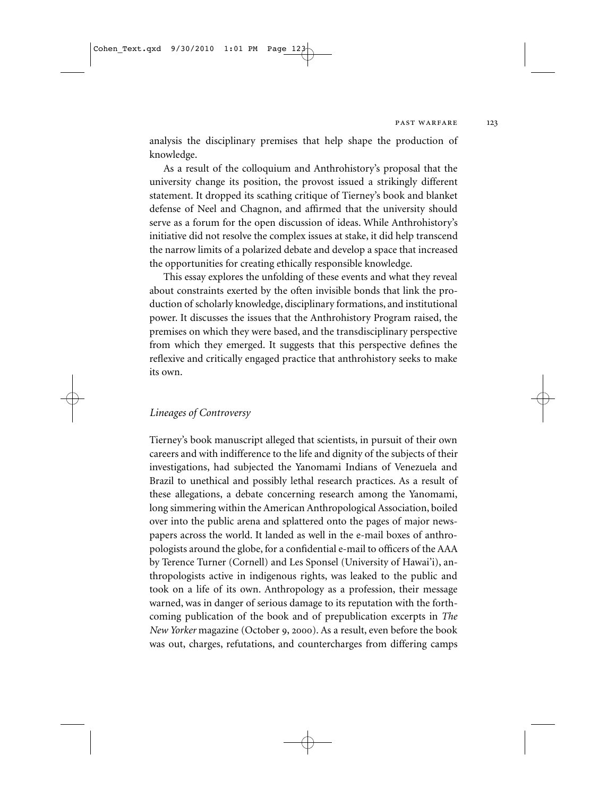analysis the disciplinary premises that help shape the production of knowledge.

As a result of the colloquium and Anthrohistory's proposal that the university change its position, the provost issued a strikingly different statement. It dropped its scathing critique of Tierney's book and blanket defense of Neel and Chagnon, and affirmed that the university should serve as a forum for the open discussion of ideas. While Anthrohistory's initiative did not resolve the complex issues at stake, it did help transcend the narrow limits of a polarized debate and develop a space that increased the opportunities for creating ethically responsible knowledge.

This essay explores the unfolding of these events and what they reveal about constraints exerted by the often invisible bonds that link the production of scholarly knowledge, disciplinary formations, and institutional power. It discusses the issues that the Anthrohistory Program raised, the premises on which they were based, and the transdisciplinary perspective from which they emerged. It suggests that this perspective defines the reflexive and critically engaged practice that anthrohistory seeks to make its own.

#### *Lineages of Controversy*

Tierney's book manuscript alleged that scientists, in pursuit of their own careers and with indifference to the life and dignity of the subjects of their investigations, had subjected the Yanomami Indians of Venezuela and Brazil to unethical and possibly lethal research practices. As a result of these allegations, a debate concerning research among the Yanomami, long simmering within the American Anthropological Association, boiled over into the public arena and splattered onto the pages of major newspapers across the world. It landed as well in the e-mail boxes of anthropologists around the globe, for a confidential e-mail to officers of the AAA by Terence Turner (Cornell) and Les Sponsel (University of Hawai'i), anthropologists active in indigenous rights, was leaked to the public and took on a life of its own. Anthropology as a profession, their message warned, was in danger of serious damage to its reputation with the forthcoming publication of the book and of prepublication excerpts in *The New Yorker* magazine (October 9, 2000). As a result, even before the book was out, charges, refutations, and countercharges from differing camps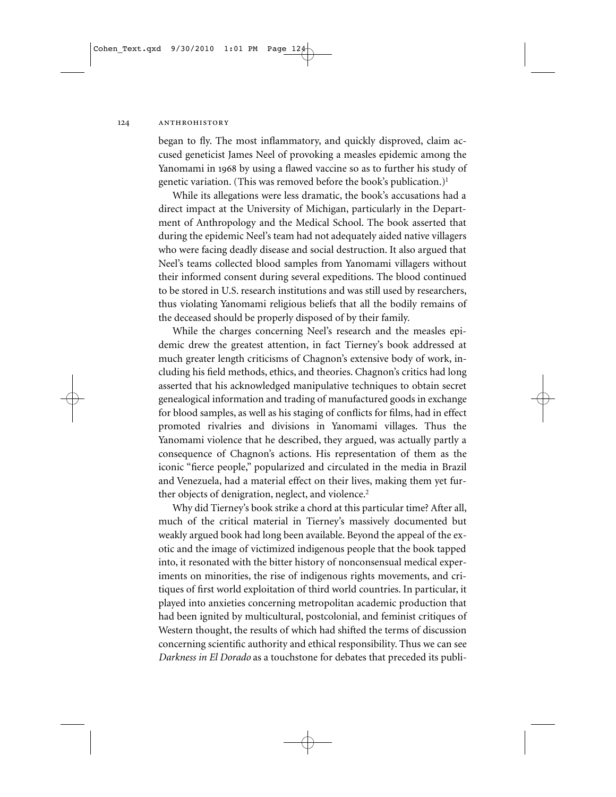began to fly. The most inflammatory, and quickly disproved, claim accused geneticist James Neel of provoking a measles epidemic among the Yanomami in 1968 by using a flawed vaccine so as to further his study of genetic variation. (This was removed before the book's publication.)<sup>1</sup>

While its allegations were less dramatic, the book's accusations had a direct impact at the University of Michigan, particularly in the Department of Anthropology and the Medical School. The book asserted that during the epidemic Neel's team had not adequately aided native villagers who were facing deadly disease and social destruction. It also argued that Neel's teams collected blood samples from Yanomami villagers without their informed consent during several expeditions. The blood continued to be stored in U.S. research institutions and was still used by researchers, thus violating Yanomami religious beliefs that all the bodily remains of the deceased should be properly disposed of by their family.

While the charges concerning Neel's research and the measles epidemic drew the greatest attention, in fact Tierney's book addressed at much greater length criticisms of Chagnon's extensive body of work, including his field methods, ethics, and theories. Chagnon's critics had long asserted that his acknowledged manipulative techniques to obtain secret genealogical information and trading of manufactured goods in exchange for blood samples, as well as his staging of conflicts for films, had in effect promoted rivalries and divisions in Yanomami villages. Thus the Yanomami violence that he described, they argued, was actually partly a consequence of Chagnon's actions. His representation of them as the iconic "fierce people," popularized and circulated in the media in Brazil and Venezuela, had a material effect on their lives, making them yet further objects of denigration, neglect, and violence.<sup>2</sup>

Why did Tierney's book strike a chord at this particular time? After all, much of the critical material in Tierney's massively documented but weakly argued book had long been available. Beyond the appeal of the exotic and the image of victimized indigenous people that the book tapped into, it resonated with the bitter history of nonconsensual medical experiments on minorities, the rise of indigenous rights movements, and critiques of first world exploitation of third world countries. In particular, it played into anxieties concerning metropolitan academic production that had been ignited by multicultural, postcolonial, and feminist critiques of Western thought, the results of which had shifted the terms of discussion concerning scientific authority and ethical responsibility. Thus we can see *Darkness in El Dorado* as a touchstone for debates that preceded its publi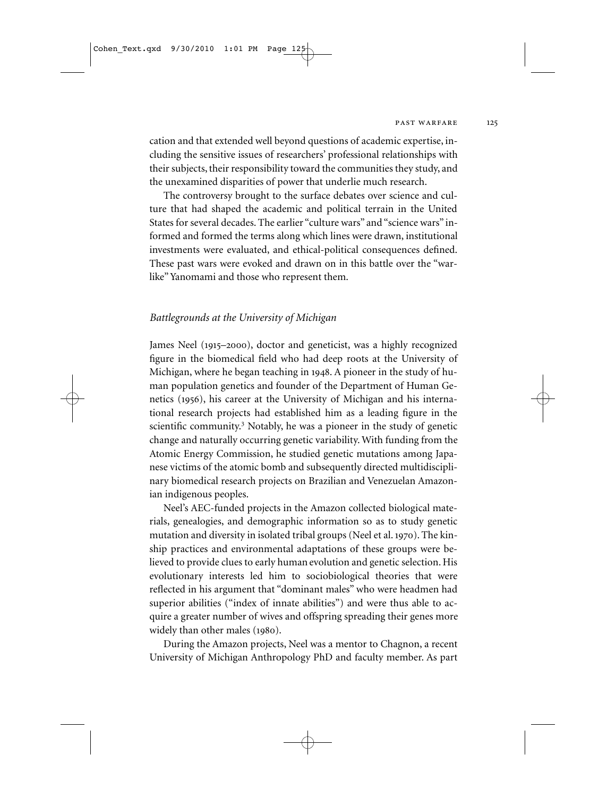cation and that extended well beyond questions of academic expertise, including the sensitive issues of researchers' professional relationships with their subjects, their responsibility toward the communities they study, and the unexamined disparities of power that underlie much research.

The controversy brought to the surface debates over science and culture that had shaped the academic and political terrain in the United States for several decades. The earlier "culture wars" and "science wars" informed and formed the terms along which lines were drawn, institutional investments were evaluated, and ethical-political consequences defined. These past wars were evoked and drawn on in this battle over the "warlike" Yanomami and those who represent them.

#### *Battlegrounds at the University of Michigan*

James Neel (1915–2000), doctor and geneticist, was a highly recognized figure in the biomedical field who had deep roots at the University of Michigan, where he began teaching in 1948. A pioneer in the study of human population genetics and founder of the Department of Human Genetics (1956), his career at the University of Michigan and his international research projects had established him as a leading figure in the scientific community.<sup>3</sup> Notably, he was a pioneer in the study of genetic change and naturally occurring genetic variability. With funding from the Atomic Energy Commission, he studied genetic mutations among Japanese victims of the atomic bomb and subsequently directed multidisciplinary biomedical research projects on Brazilian and Venezuelan Amazonian indigenous peoples.

Neel's AEC-funded projects in the Amazon collected biological materials, genealogies, and demographic information so as to study genetic mutation and diversity in isolated tribal groups (Neel et al. 1970). The kinship practices and environmental adaptations of these groups were believed to provide clues to early human evolution and genetic selection. His evolutionary interests led him to sociobiological theories that were reflected in his argument that "dominant males" who were headmen had superior abilities ("index of innate abilities") and were thus able to acquire a greater number of wives and offspring spreading their genes more widely than other males (1980).

During the Amazon projects, Neel was a mentor to Chagnon, a recent University of Michigan Anthropology PhD and faculty member. As part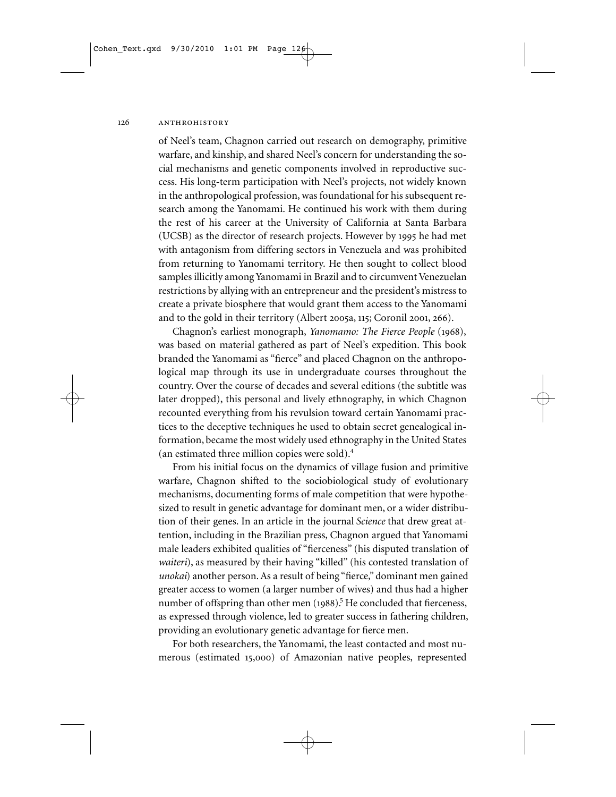of Neel's team, Chagnon carried out research on demography, primitive warfare, and kinship, and shared Neel's concern for understanding the social mechanisms and genetic components involved in reproductive success. His long-term participation with Neel's projects, not widely known in the anthropological profession, was foundational for his subsequent research among the Yanomami. He continued his work with them during the rest of his career at the University of California at Santa Barbara (UCSB) as the director of research projects. However by 1995 he had met with antagonism from differing sectors in Venezuela and was prohibited from returning to Yanomami territory. He then sought to collect blood samples illicitly among Yanomami in Brazil and to circumvent Venezuelan restrictions by allying with an entrepreneur and the president's mistress to create a private biosphere that would grant them access to the Yanomami and to the gold in their territory (Albert 2005a, 115; Coronil 2001, 266).

Chagnon's earliest monograph, *Yanomamo: The Fierce People* (1968), was based on material gathered as part of Neel's expedition. This book branded the Yanomami as "fierce" and placed Chagnon on the anthropological map through its use in undergraduate courses throughout the country. Over the course of decades and several editions (the subtitle was later dropped), this personal and lively ethnography, in which Chagnon recounted everything from his revulsion toward certain Yanomami practices to the deceptive techniques he used to obtain secret genealogical information, became the most widely used ethnography in the United States (an estimated three million copies were sold).<sup>4</sup>

From his initial focus on the dynamics of village fusion and primitive warfare, Chagnon shifted to the sociobiological study of evolutionary mechanisms, documenting forms of male competition that were hypothesized to result in genetic advantage for dominant men, or a wider distribution of their genes. In an article in the journal *Science* that drew great attention, including in the Brazilian press, Chagnon argued that Yanomami male leaders exhibited qualities of "fierceness" (his disputed translation of *waiteri*), as measured by their having "killed" (his contested translation of *unokai*) another person. As a result of being "fierce," dominant men gained greater access to women (a larger number of wives) and thus had a higher number of offspring than other men (1988).<sup>5</sup> He concluded that fierceness, as expressed through violence, led to greater success in fathering children, providing an evolutionary genetic advantage for fierce men.

For both researchers, the Yanomami, the least contacted and most numerous (estimated 15,000) of Amazonian native peoples, represented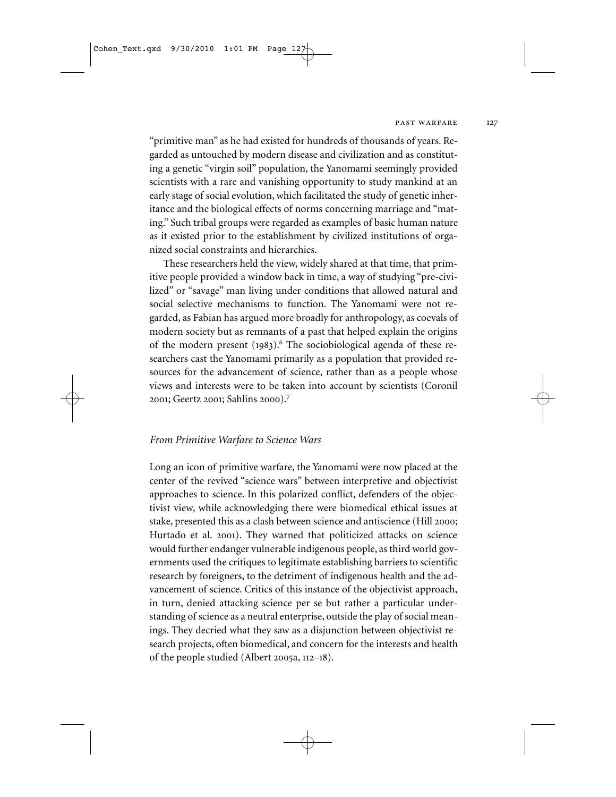"primitive man" as he had existed for hundreds of thousands of years. Regarded as untouched by modern disease and civilization and as constituting a genetic "virgin soil" population, the Yanomami seemingly provided scientists with a rare and vanishing opportunity to study mankind at an early stage of social evolution, which facilitated the study of genetic inheritance and the biological effects of norms concerning marriage and "mating." Such tribal groups were regarded as examples of basic human nature as it existed prior to the establishment by civilized institutions of organized social constraints and hierarchies.

These researchers held the view, widely shared at that time, that primitive people provided a window back in time, a way of studying "pre-civilized" or "savage" man living under conditions that allowed natural and social selective mechanisms to function. The Yanomami were not regarded, as Fabian has argued more broadly for anthropology, as coevals of modern society but as remnants of a past that helped explain the origins of the modern present  $(1983)$ .<sup>6</sup> The sociobiological agenda of these researchers cast the Yanomami primarily as a population that provided resources for the advancement of science, rather than as a people whose views and interests were to be taken into account by scientists (Coronil 2001; Geertz 2001; Sahlins 2000).<sup>7</sup>

#### *From Primitive Warfare to Science Wars*

Long an icon of primitive warfare, the Yanomami were now placed at the center of the revived "science wars" between interpretive and objectivist approaches to science. In this polarized conflict, defenders of the objectivist view, while acknowledging there were biomedical ethical issues at stake, presented this as a clash between science and antiscience (Hill 2000; Hurtado et al. 2001). They warned that politicized attacks on science would further endanger vulnerable indigenous people, as third world governments used the critiques to legitimate establishing barriers to scientific research by foreigners, to the detriment of indigenous health and the advancement of science. Critics of this instance of the objectivist approach, in turn, denied attacking science per se but rather a particular understanding of science as a neutral enterprise, outside the play of social meanings. They decried what they saw as a disjunction between objectivist research projects, often biomedical, and concern for the interests and health of the people studied (Albert 2005a, 112–18).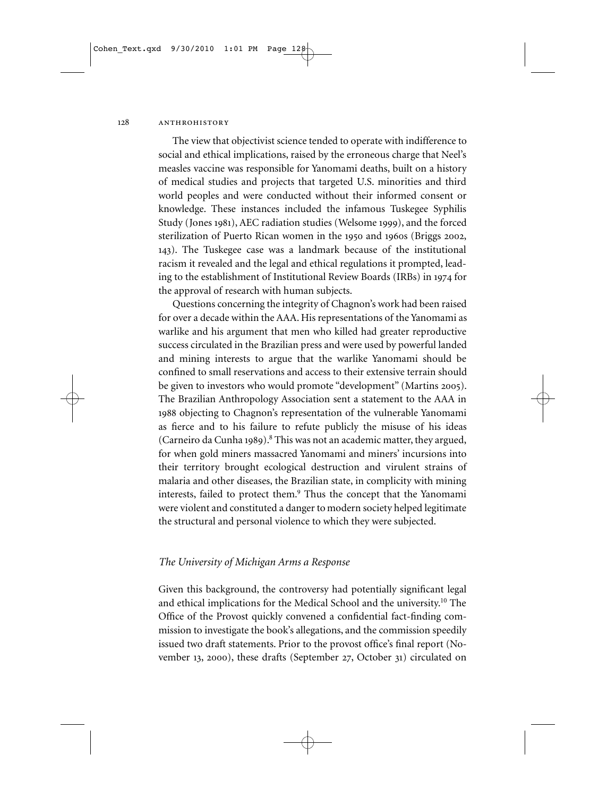The view that objectivist science tended to operate with indifference to social and ethical implications, raised by the erroneous charge that Neel's measles vaccine was responsible for Yanomami deaths, built on a history of medical studies and projects that targeted U.S. minorities and third world peoples and were conducted without their informed consent or knowledge. These instances included the infamous Tuskegee Syphilis Study (Jones 1981), AEC radiation studies (Welsome 1999), and the forced sterilization of Puerto Rican women in the 1950 and 1960s (Briggs 2002, 143). The Tuskegee case was a landmark because of the institutional racism it revealed and the legal and ethical regulations it prompted, leading to the establishment of Institutional Review Boards (IRBs) in 1974 for the approval of research with human subjects.

Questions concerning the integrity of Chagnon's work had been raised for over a decade within the AAA. His representations of the Yanomami as warlike and his argument that men who killed had greater reproductive success circulated in the Brazilian press and were used by powerful landed and mining interests to argue that the warlike Yanomami should be confined to small reservations and access to their extensive terrain should be given to investors who would promote "development" (Martins 2005). The Brazilian Anthropology Association sent a statement to the AAA in 1988 objecting to Chagnon's representation of the vulnerable Yanomami as fierce and to his failure to refute publicly the misuse of his ideas (Carneiro da Cunha 1989).<sup>8</sup> This was not an academic matter, they argued, for when gold miners massacred Yanomami and miners' incursions into their territory brought ecological destruction and virulent strains of malaria and other diseases, the Brazilian state, in complicity with mining interests, failed to protect them.<sup>9</sup> Thus the concept that the Yanomami were violent and constituted a danger to modern society helped legitimate the structural and personal violence to which they were subjected.

#### *The University of Michigan Arms a Response*

Given this background, the controversy had potentially significant legal and ethical implications for the Medical School and the university.<sup>10</sup> The Office of the Provost quickly convened a confidential fact-finding commission to investigate the book's allegations, and the commission speedily issued two draft statements. Prior to the provost office's final report (November 13, 2000), these drafts (September 27, October 31) circulated on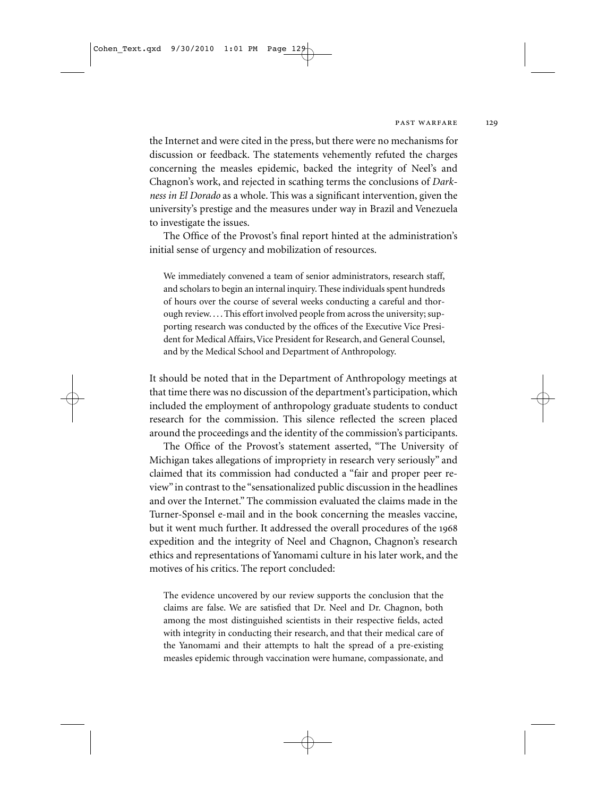Cohen Text.qxd  $9/30/2010$  1:01 PM

the Internet and were cited in the press, but there were no mechanisms for discussion or feedback. The statements vehemently refuted the charges concerning the measles epidemic, backed the integrity of Neel's and Chagnon's work, and rejected in scathing terms the conclusions of *Darkness in El Dorado* as a whole. This was a significant intervention, given the university's prestige and the measures under way in Brazil and Venezuela to investigate the issues.

The Office of the Provost's final report hinted at the administration's initial sense of urgency and mobilization of resources.

We immediately convened a team of senior administrators, research staff, and scholars to begin an internal inquiry. These individuals spent hundreds of hours over the course of several weeks conducting a careful and thorough review.... This effort involved people from across the university; supporting research was conducted by the offices of the Executive Vice President for Medical Affairs, Vice President for Research, and General Counsel, and by the Medical School and Department of Anthropology.

It should be noted that in the Department of Anthropology meetings at that time there was no discussion of the department's participation, which included the employment of anthropology graduate students to conduct research for the commission. This silence reflected the screen placed around the proceedings and the identity of the commission's participants.

The Office of the Provost's statement asserted, "The University of Michigan takes allegations of impropriety in research very seriously" and claimed that its commission had conducted a "fair and proper peer review" in contrast to the "sensationalized public discussion in the headlines and over the Internet." The commission evaluated the claims made in the Turner-Sponsel e-mail and in the book concerning the measles vaccine, but it went much further. It addressed the overall procedures of the 1968 expedition and the integrity of Neel and Chagnon, Chagnon's research ethics and representations of Yanomami culture in his later work, and the motives of his critics. The report concluded:

The evidence uncovered by our review supports the conclusion that the claims are false. We are satisfied that Dr. Neel and Dr. Chagnon, both among the most distinguished scientists in their respective fields, acted with integrity in conducting their research, and that their medical care of the Yanomami and their attempts to halt the spread of a pre-existing measles epidemic through vaccination were humane, compassionate, and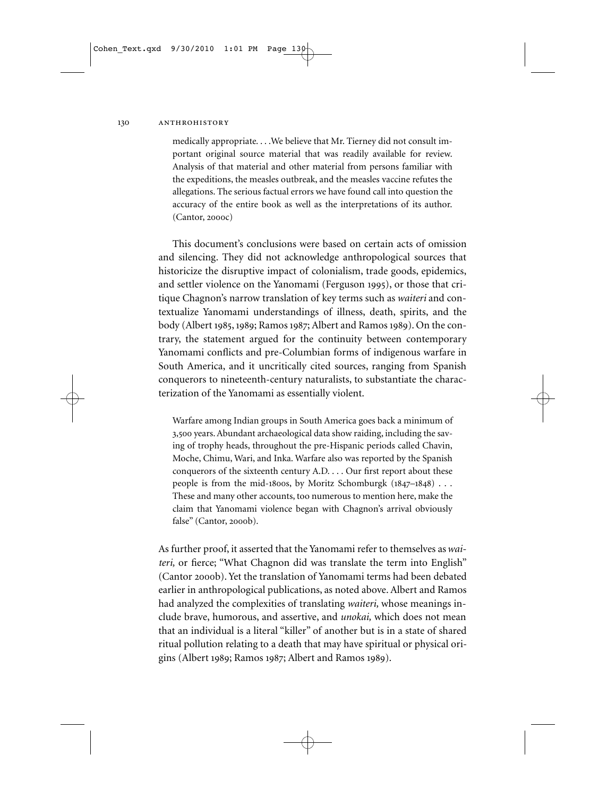medically appropriate. . . .We believe that Mr. Tierney did not consult important original source material that was readily available for review. Analysis of that material and other material from persons familiar with the expeditions, the measles outbreak, and the measles vaccine refutes the allegations. The serious factual errors we have found call into question the accuracy of the entire book as well as the interpretations of its author. (Cantor, 2000c)

This document's conclusions were based on certain acts of omission and silencing. They did not acknowledge anthropological sources that historicize the disruptive impact of colonialism, trade goods, epidemics, and settler violence on the Yanomami (Ferguson 1995), or those that critique Chagnon's narrow translation of key terms such as *waiteri* and contextualize Yanomami understandings of illness, death, spirits, and the body (Albert 1985, 1989; Ramos 1987; Albert and Ramos 1989). On the contrary, the statement argued for the continuity between contemporary Yanomami conflicts and pre-Columbian forms of indigenous warfare in South America, and it uncritically cited sources, ranging from Spanish conquerors to nineteenth-century naturalists, to substantiate the characterization of the Yanomami as essentially violent.

Warfare among Indian groups in South America goes back a minimum of 3,500 years. Abundant archaeological data show raiding, including the saving of trophy heads, throughout the pre-Hispanic periods called Chavin, Moche, Chimu, Wari, and Inka. Warfare also was reported by the Spanish conquerors of the sixteenth century  $A.D. \ldots$  Our first report about these people is from the mid-1800s, by Moritz Schomburgk (1847–1848) . . . These and many other accounts, too numerous to mention here, make the claim that Yanomami violence began with Chagnon's arrival obviously false" (Cantor, 2000b).

As further proof, it asserted that the Yanomami refer to themselves as *waiteri*, or fierce; "What Chagnon did was translate the term into English" (Cantor 2000b). Yet the translation of Yanomami terms had been debated earlier in anthropological publications, as noted above. Albert and Ramos had analyzed the complexities of translating *waiteri,* whose meanings include brave, humorous, and assertive, and *unokai,* which does not mean that an individual is a literal "killer" of another but is in a state of shared ritual pollution relating to a death that may have spiritual or physical origins (Albert 1989; Ramos 1987; Albert and Ramos 1989).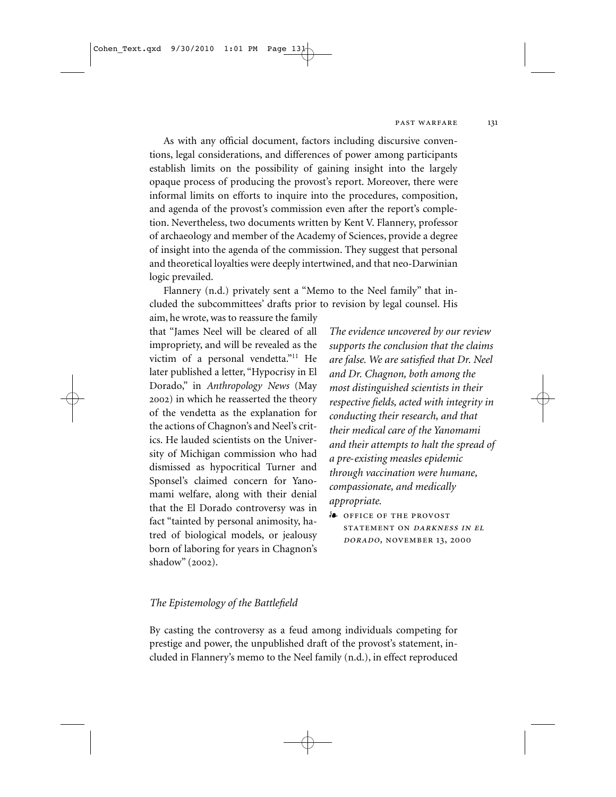As with any official document, factors including discursive conventions, legal considerations, and differences of power among participants establish limits on the possibility of gaining insight into the largely opaque process of producing the provost's report. Moreover, there were informal limits on efforts to inquire into the procedures, composition, and agenda of the provost's commission even after the report's completion. Nevertheless, two documents written by Kent V. Flannery, professor of archaeology and member of the Academy of Sciences, provide a degree of insight into the agenda of the commission. They suggest that personal and theoretical loyalties were deeply intertwined, and that neo-Darwinian logic prevailed.

Flannery (n.d.) privately sent a "Memo to the Neel family" that included the subcommittees' drafts prior to revision by legal counsel. His

aim, he wrote, was to reassure the family that "James Neel will be cleared of all impropriety, and will be revealed as the victim of a personal vendetta."<sup>11</sup> He later published a letter, "Hypocrisy in El Dorado," in *Anthropology News* (May 2002) in which he reasserted the theory of the vendetta as the explanation for the actions of Chagnon's and Neel's critics. He lauded scientists on the University of Michigan commission who had dismissed as hypocritical Turner and Sponsel's claimed concern for Yanomami welfare, along with their denial that the El Dorado controversy was in fact "tainted by personal animosity, hatred of biological models, or jealousy born of laboring for years in Chagnon's shadow" (2002).

*The evidence uncovered by our review supports the conclusion that the claims are false. We are satisfied that Dr. Neel and Dr. Chagnon, both among the most distinguished scientists in their respective fields, acted with integrity in conducting their research, and that their medical care of the Yanomami and their attempts to halt the spread of a pre*-*existing measles epidemic through vaccination were humane, compassionate, and medically appropriate.*

 $\overset{\bullet}{\bullet}$  OFFICE OF THE PROVOST statement on darkness in el dorado, november 13, 2000

#### *The Epistemology of the Battlefield*

By casting the controversy as a feud among individuals competing for prestige and power, the unpublished draft of the provost's statement, included in Flannery's memo to the Neel family (n.d.), in effect reproduced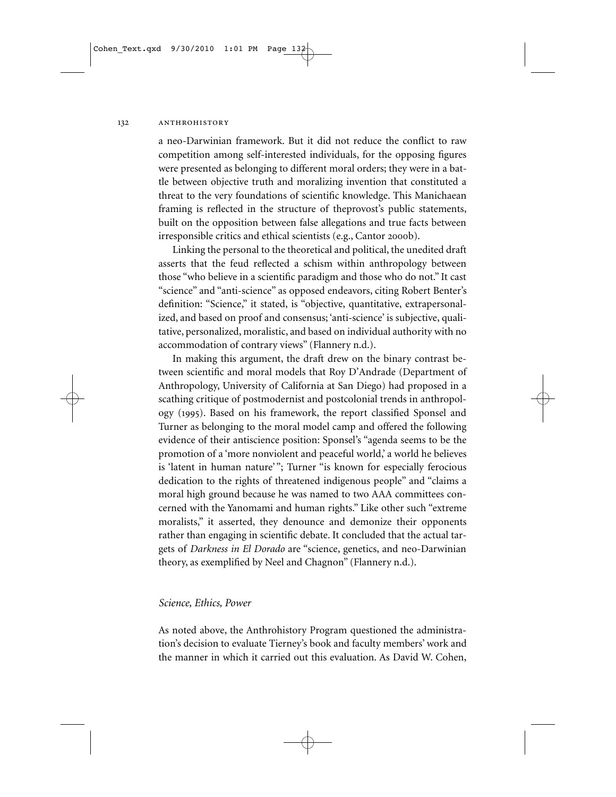a neo-Darwinian framework. But it did not reduce the conflict to raw competition among self-interested individuals, for the opposing figures were presented as belonging to different moral orders; they were in a battle between objective truth and moralizing invention that constituted a threat to the very foundations of scientific knowledge. This Manichaean framing is reflected in the structure of theprovost's public statements, built on the opposition between false allegations and true facts between irresponsible critics and ethical scientists (e.g., Cantor 2000b).

Linking the personal to the theoretical and political, the unedited draft asserts that the feud reflected a schism within anthropology between those "who believe in a scientific paradigm and those who do not." It cast "science" and "anti-science" as opposed endeavors, citing Robert Benter's definition: "Science," it stated, is "objective, quantitative, extrapersonalized, and based on proof and consensus; 'anti-science' is subjective, qualitative, personalized, moralistic, and based on individual authority with no accommodation of contrary views" (Flannery n.d.).

In making this argument, the draft drew on the binary contrast between scientific and moral models that Roy D'Andrade (Department of Anthropology, University of California at San Diego) had proposed in a scathing critique of postmodernist and postcolonial trends in anthropology (1995). Based on his framework, the report classified Sponsel and Turner as belonging to the moral model camp and offered the following evidence of their antiscience position: Sponsel's "agenda seems to be the promotion of a 'more nonviolent and peaceful world,' a world he believes is 'latent in human nature'"; Turner "is known for especially ferocious dedication to the rights of threatened indigenous people" and "claims a moral high ground because he was named to two AAA committees concerned with the Yanomami and human rights." Like other such "extreme moralists," it asserted, they denounce and demonize their opponents rather than engaging in scientific debate. It concluded that the actual targets of *Darkness in El Dorado* are "science, genetics, and neo-Darwinian theory, as exemplified by Neel and Chagnon" (Flannery n.d.).

### *Science, Ethics, Power*

As noted above, the Anthrohistory Program questioned the administration's decision to evaluate Tierney's book and faculty members' work and the manner in which it carried out this evaluation. As David W. Cohen,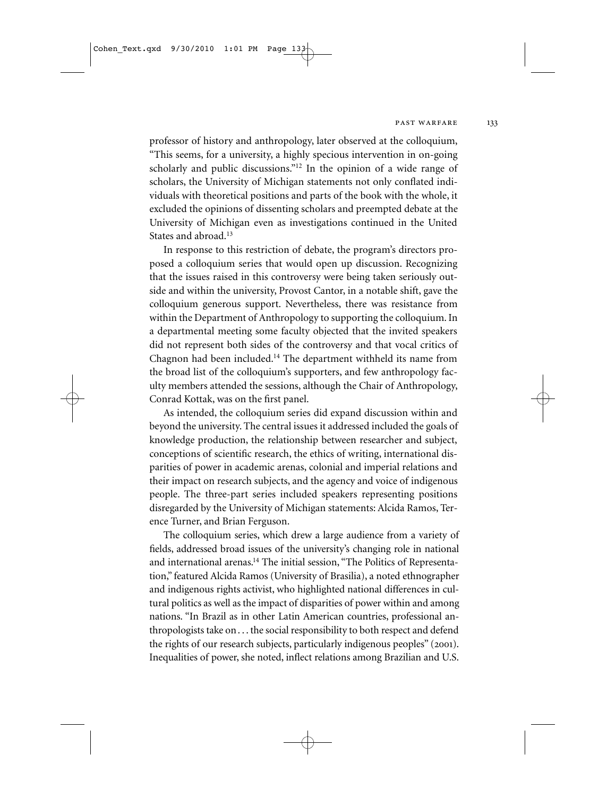professor of history and anthropology, later observed at the colloquium, "This seems, for a university, a highly specious intervention in on-going scholarly and public discussions."<sup>12</sup> In the opinion of a wide range of scholars, the University of Michigan statements not only conflated individuals with theoretical positions and parts of the book with the whole, it excluded the opinions of dissenting scholars and preempted debate at the University of Michigan even as investigations continued in the United States and abroad.<sup>13</sup>

In response to this restriction of debate, the program's directors proposed a colloquium series that would open up discussion. Recognizing that the issues raised in this controversy were being taken seriously outside and within the university, Provost Cantor, in a notable shift, gave the colloquium generous support. Nevertheless, there was resistance from within the Department of Anthropology to supporting the colloquium. In a departmental meeting some faculty objected that the invited speakers did not represent both sides of the controversy and that vocal critics of Chagnon had been included.<sup>14</sup> The department withheld its name from the broad list of the colloquium's supporters, and few anthropology faculty members attended the sessions, although the Chair of Anthropology, Conrad Kottak, was on the first panel.

As intended, the colloquium series did expand discussion within and beyond the university. The central issues it addressed included the goals of knowledge production, the relationship between researcher and subject, conceptions of scientific research, the ethics of writing, international disparities of power in academic arenas, colonial and imperial relations and their impact on research subjects, and the agency and voice of indigenous people. The three-part series included speakers representing positions disregarded by the University of Michigan statements: Alcida Ramos, Terence Turner, and Brian Ferguson.

The colloquium series, which drew a large audience from a variety of fields, addressed broad issues of the university's changing role in national and international arenas.<sup>14</sup> The initial session, "The Politics of Representation," featured Alcida Ramos (University of Brasilia), a noted ethnographer and indigenous rights activist, who highlighted national differences in cultural politics as well as the impact of disparities of power within and among nations. "In Brazil as in other Latin American countries, professional anthropologists take on . . . the social responsibility to both respect and defend the rights of our research subjects, particularly indigenous peoples" (2001). Inequalities of power, she noted, inflect relations among Brazilian and U.S.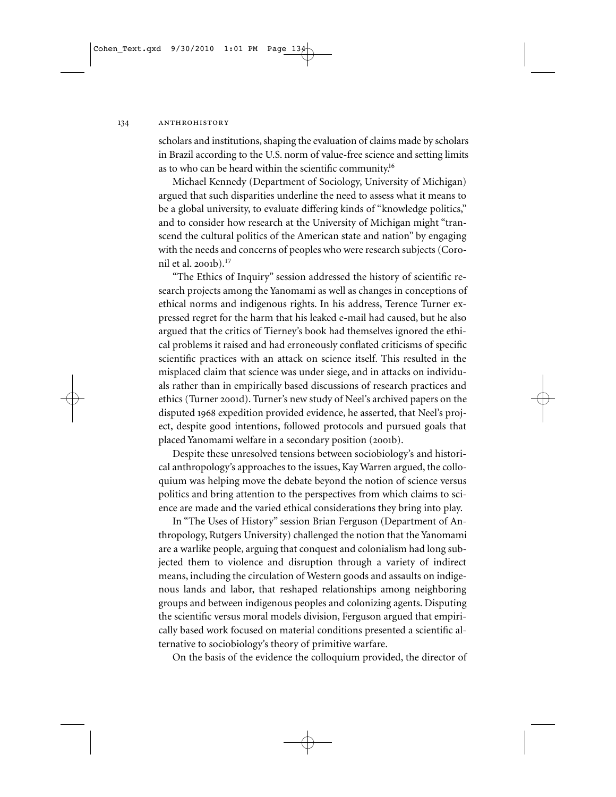scholars and institutions, shaping the evaluation of claims made by scholars in Brazil according to the U.S. norm of value-free science and setting limits as to who can be heard within the scientific community.<sup>16</sup>

Michael Kennedy (Department of Sociology, University of Michigan) argued that such disparities underline the need to assess what it means to be a global university, to evaluate differing kinds of "knowledge politics," and to consider how research at the University of Michigan might "transcend the cultural politics of the American state and nation" by engaging with the needs and concerns of peoples who were research subjects (Coronil et al. 2001b).<sup>17</sup>

"The Ethics of Inquiry" session addressed the history of scientific research projects among the Yanomami as well as changes in conceptions of ethical norms and indigenous rights. In his address, Terence Turner expressed regret for the harm that his leaked e-mail had caused, but he also argued that the critics of Tierney's book had themselves ignored the ethical problems it raised and had erroneously conflated criticisms of specific scientific practices with an attack on science itself. This resulted in the misplaced claim that science was under siege, and in attacks on individuals rather than in empirically based discussions of research practices and ethics (Turner 2001d). Turner's new study of Neel's archived papers on the disputed 1968 expedition provided evidence, he asserted, that Neel's project, despite good intentions, followed protocols and pursued goals that placed Yanomami welfare in a secondary position (2001b).

Despite these unresolved tensions between sociobiology's and historical anthropology's approaches to the issues, Kay Warren argued, the colloquium was helping move the debate beyond the notion of science versus politics and bring attention to the perspectives from which claims to science are made and the varied ethical considerations they bring into play.

In "The Uses of History" session Brian Ferguson (Department of Anthropology, Rutgers University) challenged the notion that the Yanomami are a warlike people, arguing that conquest and colonialism had long subjected them to violence and disruption through a variety of indirect means, including the circulation of Western goods and assaults on indigenous lands and labor, that reshaped relationships among neighboring groups and between indigenous peoples and colonizing agents. Disputing the scientific versus moral models division, Ferguson argued that empirically based work focused on material conditions presented a scientific alternative to sociobiology's theory of primitive warfare.

On the basis of the evidence the colloquium provided, the director of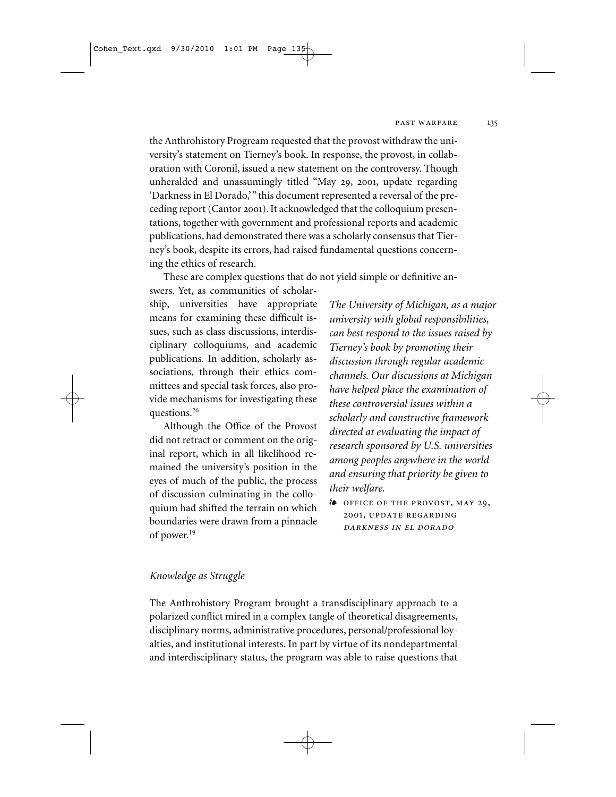the Anthrohistory Progream requested that the provost withdraw the university's statement on Tierney's book. In response, the provost, in collaboration with Coronil, issued a new statement on the controversy. Though unheralded and unassumingly titled "May 29, 2001, update regarding 'Darkness in El Dorado,'" this document represented a reversal of the preceding report (Cantor 2001). It acknowledged that the colloquium presentations, together with government and professional reports and academic publications, had demonstrated there was a scholarly consensus that Tierney's book, despite its errors, had raised fundamental questions concerning the ethics of research.

These are complex questions that do not yield simple or definitive answers. Yet, as communities of scholar-

ship, universities have appropriate means for examining these difficult issues, such as class discussions, interdisciplinary colloquiums, and academic publications. In addition, scholarly associations, through their ethics committees and special task forces, also provide mechanisms for investigating these questions.<sup>26</sup>

Although the Office of the Provost did not retract or comment on the original report, which in all likelihood remained the university's position in the eyes of much of the public, the process of discussion culminating in the colloquium had shifted the terrain on which boundaries were drawn from a pinnacle of power.<sup>19</sup>

*The University of Michigan, as a major university with global responsibilities, can best respond to the issues raised by Tierney's book by promoting their discussion through regular academic channels. Our discussions at Michigan have helped place the examination of these controversial issues within a scholarly and constructive framework directed at evaluating the impact of research sponsored by U.S. universities among peoples anywhere in the world and ensuring that priority be given to their welfare.*

! office of the provost, may 29, 2001, update regarding darkness in el dorado

### *Knowledge as Struggle*

The Anthrohistory Program brought a transdisciplinary approach to a polarized conflict mired in a complex tangle of theoretical disagreements, disciplinary norms, administrative procedures, personal/professional loyalties, and institutional interests. In part by virtue of its nondepartmental and interdisciplinary status, the program was able to raise questions that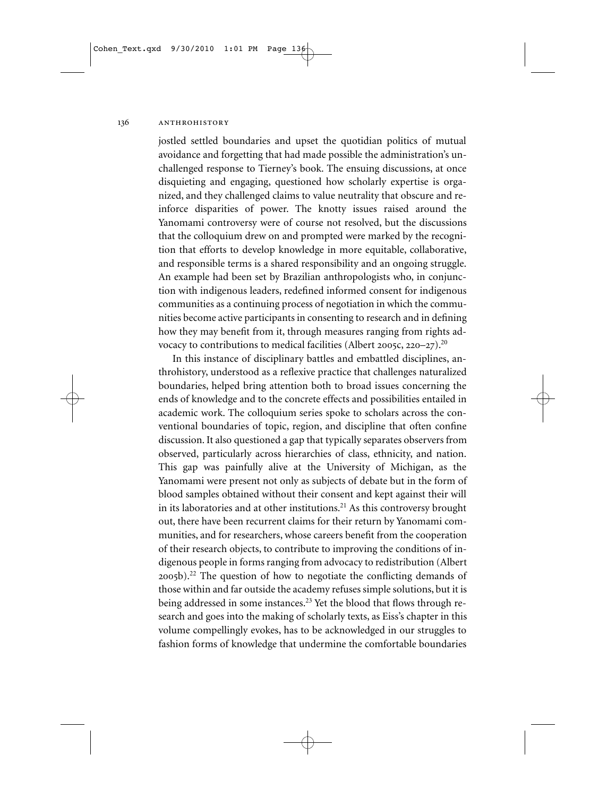jostled settled boundaries and upset the quotidian politics of mutual avoidance and forgetting that had made possible the administration's unchallenged response to Tierney's book. The ensuing discussions, at once disquieting and engaging, questioned how scholarly expertise is organized, and they challenged claims to value neutrality that obscure and reinforce disparities of power. The knotty issues raised around the Yanomami controversy were of course not resolved, but the discussions that the colloquium drew on and prompted were marked by the recognition that efforts to develop knowledge in more equitable, collaborative, and responsible terms is a shared responsibility and an ongoing struggle. An example had been set by Brazilian anthropologists who, in conjunction with indigenous leaders, redefined informed consent for indigenous communities as a continuing process of negotiation in which the communities become active participants in consenting to research and in defining how they may benefit from it, through measures ranging from rights advocacy to contributions to medical facilities (Albert 2005c, 220–27).<sup>20</sup>

In this instance of disciplinary battles and embattled disciplines, anthrohistory, understood as a reflexive practice that challenges naturalized boundaries, helped bring attention both to broad issues concerning the ends of knowledge and to the concrete effects and possibilities entailed in academic work. The colloquium series spoke to scholars across the conventional boundaries of topic, region, and discipline that often confine discussion. It also questioned a gap that typically separates observers from observed, particularly across hierarchies of class, ethnicity, and nation. This gap was painfully alive at the University of Michigan, as the Yanomami were present not only as subjects of debate but in the form of blood samples obtained without their consent and kept against their will in its laboratories and at other institutions.<sup>21</sup> As this controversy brought out, there have been recurrent claims for their return by Yanomami communities, and for researchers, whose careers benefit from the cooperation of their research objects, to contribute to improving the conditions of indigenous people in forms ranging from advocacy to redistribution (Albert  $2005b$ ).<sup>22</sup> The question of how to negotiate the conflicting demands of those within and far outside the academy refuses simple solutions, but it is being addressed in some instances.<sup>23</sup> Yet the blood that flows through research and goes into the making of scholarly texts, as Eiss's chapter in this volume compellingly evokes, has to be acknowledged in our struggles to fashion forms of knowledge that undermine the comfortable boundaries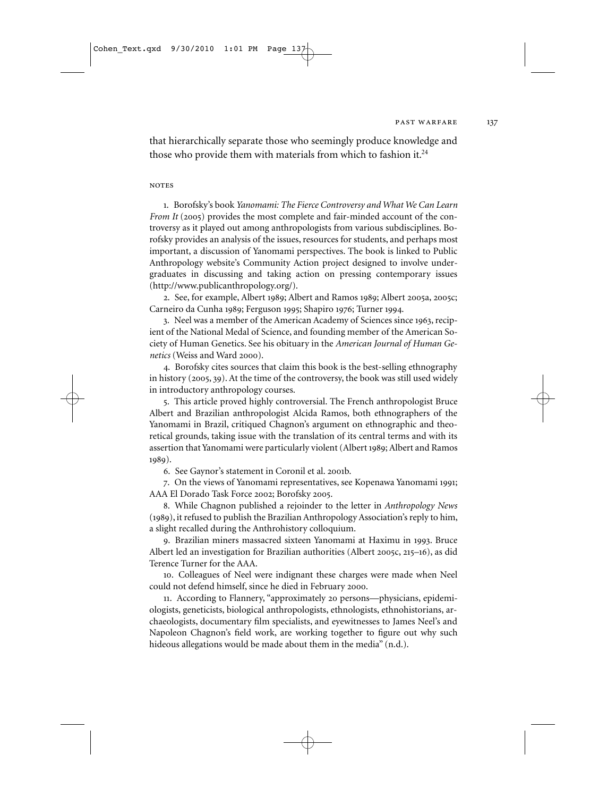that hierarchically separate those who seemingly produce knowledge and those who provide them with materials from which to fashion it.<sup>24</sup>

#### **NOTES**

1. Borofsky's book *Yanomami: The Fierce Controversy and What We Can Learn From It* (2005) provides the most complete and fair-minded account of the controversy as it played out among anthropologists from various subdisciplines. Borofsky provides an analysis of the issues, resources for students, and perhaps most important, a discussion of Yanomami perspectives. The book is linked to Public Anthropology website's Community Action project designed to involve undergraduates in discussing and taking action on pressing contemporary issues (http://www.publicanthropology.org/).

2. See, for example, Albert 1989; Albert and Ramos 1989; Albert 2005a, 2005c; Carneiro da Cunha 1989; Ferguson 1995; Shapiro 1976; Turner 1994.

3. Neel was a member of the American Academy of Sciences since 1963, recipient of the National Medal of Science, and founding member of the American Society of Human Genetics. See his obituary in the *American Journal of Human Genetics* (Weiss and Ward 2000).

4. Borofsky cites sources that claim this book is the best-selling ethnography in history (2005, 39). At the time of the controversy, the book was still used widely in introductory anthropology courses.

5. This article proved highly controversial. The French anthropologist Bruce Albert and Brazilian anthropologist Alcida Ramos, both ethnographers of the Yanomami in Brazil, critiqued Chagnon's argument on ethnographic and theoretical grounds, taking issue with the translation of its central terms and with its assertion that Yanomami were particularly violent (Albert 1989; Albert and Ramos 1989).

6. See Gaynor's statement in Coronil et al. 2001b.

7. On the views of Yanomami representatives, see Kopenawa Yanomami 1991; AAA El Dorado Task Force 2002; Borofsky 2005.

8. While Chagnon published a rejoinder to the letter in *Anthropology News* (1989), it refused to publish the Brazilian Anthropology Association's reply to him, a slight recalled during the Anthrohistory colloquium.

9. Brazilian miners massacred sixteen Yanomami at Haximu in 1993. Bruce Albert led an investigation for Brazilian authorities (Albert 2005c, 215–16), as did Terence Turner for the AAA.

10. Colleagues of Neel were indignant these charges were made when Neel could not defend himself, since he died in February 2000.

11. According to Flannery, "approximately 20 persons—physicians, epidemiologists, geneticists, biological anthropologists, ethnologists, ethnohistorians, archaeologists, documentary film specialists, and eyewitnesses to James Neel's and Napoleon Chagnon's field work, are working together to figure out why such hideous allegations would be made about them in the media" (n.d.).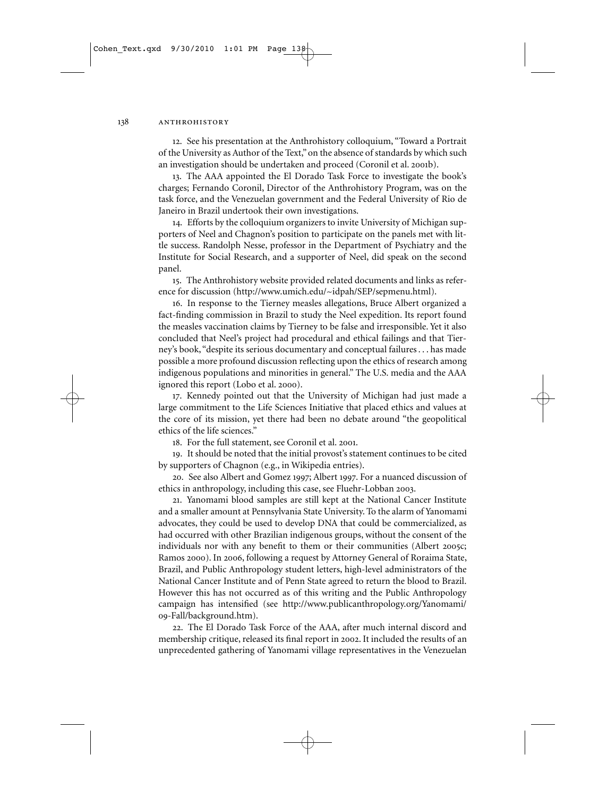12. See his presentation at the Anthrohistory colloquium, "Toward a Portrait of the University as Author of the Text," on the absence of standards by which such an investigation should be undertaken and proceed (Coronil et al. 2001b).

13. The AAA appointed the El Dorado Task Force to investigate the book's charges; Fernando Coronil, Director of the Anthrohistory Program, was on the task force, and the Venezuelan government and the Federal University of Rio de Janeiro in Brazil undertook their own investigations.

14. Efforts by the colloquium organizers to invite University of Michigan supporters of Neel and Chagnon's position to participate on the panels met with little success. Randolph Nesse, professor in the Department of Psychiatry and the Institute for Social Research, and a supporter of Neel, did speak on the second panel.

15. The Anthrohistory website provided related documents and links as reference for discussion (http://www.umich.edu/~idpah/SEP/sepmenu.html).

16. In response to the Tierney measles allegations, Bruce Albert organized a fact-finding commission in Brazil to study the Neel expedition. Its report found the measles vaccination claims by Tierney to be false and irresponsible. Yet it also concluded that Neel's project had procedural and ethical failings and that Tierney's book, "despite its serious documentary and conceptual failures . . . has made possible a more profound discussion reflecting upon the ethics of research among indigenous populations and minorities in general." The U.S. media and the AAA ignored this report (Lobo et al. 2000).

17. Kennedy pointed out that the University of Michigan had just made a large commitment to the Life Sciences Initiative that placed ethics and values at the core of its mission, yet there had been no debate around "the geopolitical ethics of the life sciences."

18. For the full statement, see Coronil et al. 2001.

19. It should be noted that the initial provost's statement continues to be cited by supporters of Chagnon (e.g., in Wikipedia entries).

20. See also Albert and Gomez 1997; Albert 1997. For a nuanced discussion of ethics in anthropology, including this case, see Fluehr-Lobban 2003.

21. Yanomami blood samples are still kept at the National Cancer Institute and a smaller amount at Pennsylvania State University. To the alarm of Yanomami advocates, they could be used to develop DNA that could be commercialized, as had occurred with other Brazilian indigenous groups, without the consent of the individuals nor with any benefit to them or their communities (Albert 2005c; Ramos 2000). In 2006, following a request by Attorney General of Roraima State, Brazil, and Public Anthropology student letters, high-level administrators of the National Cancer Institute and of Penn State agreed to return the blood to Brazil. However this has not occurred as of this writing and the Public Anthropology campaign has intensified (see http://www.publicanthropology.org/Yanomami/ 09-Fall/background.htm).

22. The El Dorado Task Force of the AAA, after much internal discord and membership critique, released its final report in 2002. It included the results of an unprecedented gathering of Yanomami village representatives in the Venezuelan